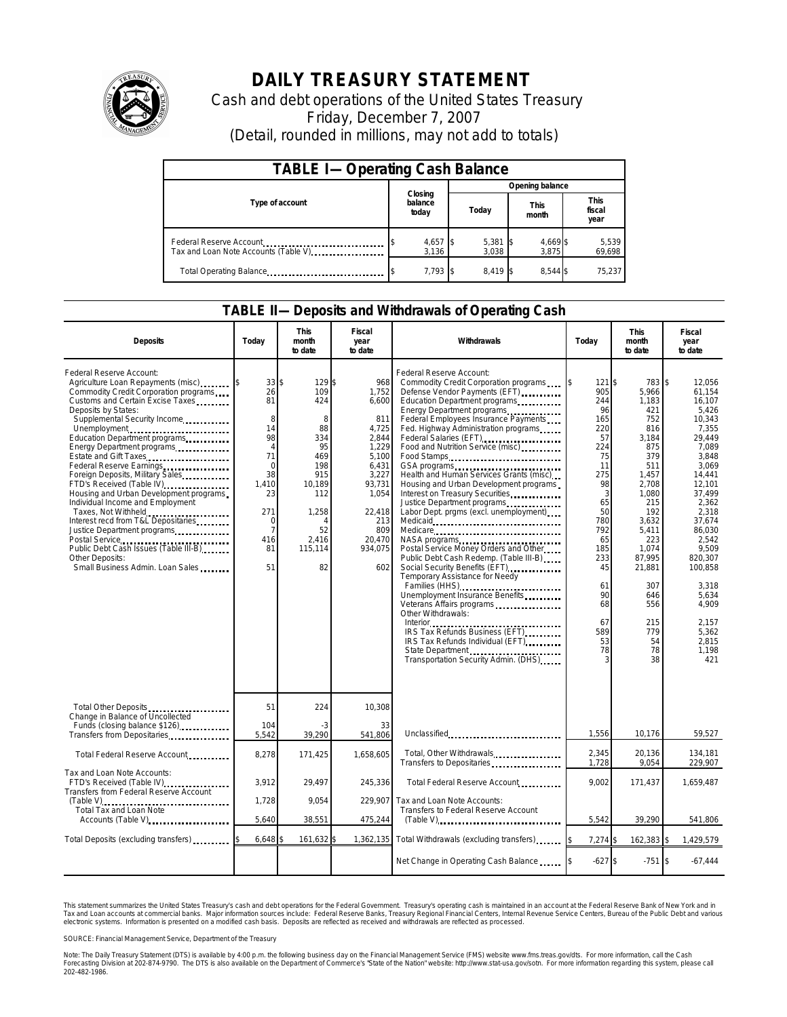

## **DAILY TREASURY STATEMENT**

Cash and debt operations of the United States Treasury Friday, December 7, 2007 (Detail, rounded in millions, may not add to totals)

| <b>TABLE I-Operating Cash Balance</b>                           |                             |                 |                        |                               |  |  |  |
|-----------------------------------------------------------------|-----------------------------|-----------------|------------------------|-------------------------------|--|--|--|
|                                                                 |                             | Opening balance |                        |                               |  |  |  |
| Type of account                                                 | Closing<br>balance<br>today | Today           | <b>This</b><br>month   | <b>This</b><br>fiscal<br>year |  |  |  |
| Federal Reserve Account<br>Tax and Loan Note Accounts (Table V) | $4,657$ \$<br>3,136         | 5,381<br>3.038  | 4,669<br>- 15<br>3.875 | 5,539<br>69,698               |  |  |  |
| Total Operating Balance                                         | $7.793$ \$                  | 8.419 \$        | 8.544                  | 75.237                        |  |  |  |

## **TABLE II—Deposits and Withdrawals of Operating Cash**

| <b>Deposits</b>                                                                                                                                                                                                                                                                                                                                                                                                                                                                                                                                                                                                                                                                                      | Today                                                                                                                                                 | <b>This</b><br>month<br>to date                                                                                                 | Fiscal<br>year<br>to date                                                                                                                                 | Withdrawals                                                                                                                                                                                                                                                                                                                                                                                                                                                                                                                                                                                                                                                                                                                                                                                                                                                                                                                                                                            | Today                                                                                                                                                                              | <b>This</b><br>month<br>to date                                                                                                                                                                                              | <b>Fiscal</b><br>year<br>to date                                                                                                                                                                                                                                                    |
|------------------------------------------------------------------------------------------------------------------------------------------------------------------------------------------------------------------------------------------------------------------------------------------------------------------------------------------------------------------------------------------------------------------------------------------------------------------------------------------------------------------------------------------------------------------------------------------------------------------------------------------------------------------------------------------------------|-------------------------------------------------------------------------------------------------------------------------------------------------------|---------------------------------------------------------------------------------------------------------------------------------|-----------------------------------------------------------------------------------------------------------------------------------------------------------|----------------------------------------------------------------------------------------------------------------------------------------------------------------------------------------------------------------------------------------------------------------------------------------------------------------------------------------------------------------------------------------------------------------------------------------------------------------------------------------------------------------------------------------------------------------------------------------------------------------------------------------------------------------------------------------------------------------------------------------------------------------------------------------------------------------------------------------------------------------------------------------------------------------------------------------------------------------------------------------|------------------------------------------------------------------------------------------------------------------------------------------------------------------------------------|------------------------------------------------------------------------------------------------------------------------------------------------------------------------------------------------------------------------------|-------------------------------------------------------------------------------------------------------------------------------------------------------------------------------------------------------------------------------------------------------------------------------------|
| Federal Reserve Account:<br>Agriculture Loan Repayments (misc)<br>Commodity Credit Corporation programs<br>Customs and Certain Excise Taxes<br>Deposits by States:<br>Supplemental Security Income<br>Unemployment<br>Education Department programs<br>Energy Department programs<br>Estate and Gift Taxes<br>Federal Reserve Earnings<br>Foreign Deposits, Military Sales<br>FTD's Received (Table IV)<br>Housing and Urban Development programs<br>Individual Income and Employment<br>Taxes, Not Withheld<br>Interest recd from T&L Depositaries<br>Justice Department programs<br>Postal Service<br>Public Debt Cash Issues (Table III-B)<br>Other Deposits:<br>Small Business Admin. Loan Sales | $33$ \$<br>26<br>81<br>8<br>14<br>98<br>$\overline{4}$<br>71<br>$\Omega$<br>38<br>1,410<br>23<br>271<br>$\Omega$<br>$\overline{7}$<br>416<br>81<br>51 | 129\$<br>109<br>424<br>8<br>88<br>334<br>95<br>469<br>198<br>915<br>10,189<br>112<br>1,258<br>4<br>52<br>2,416<br>115,114<br>82 | 968<br>1,752<br>6,600<br>811<br>4,725<br>2,844<br>1,229<br>5,100<br>6.431<br>3,227<br>93,731<br>1,054<br>22,418<br>213<br>809<br>20.470<br>934,075<br>602 | Federal Reserve Account:<br>Commodity Credit Corporation programs<br>Defense Vendor Payments (EFT)<br>Education Department programs<br>Energy Department programs<br>Federal Employees Insurance Payments<br>Fed. Highway Administration programs<br>Federal Salaries (EFT)<br>Food and Nutrition Service (misc)<br>Food Stamps<br>GSA programs<br>Health and Human Services Grants (misc)<br>Housing and Urban Development programs<br>Interest on Treasury Securities<br>Justice Department programs<br>Labor Dept. prgms (excl. unemployment)<br>Medicare<br>NASA programs<br>Postal Service Money Orders and Other<br>Public Debt Cash Redemp. (Table III-B)<br>Social Security Benefits (EFT)<br>Temporary Assistance for Needy<br>Families (HHS) <b></b><br>Unemployment Insurance Benefits<br>Veterans Affairs programs<br>Other Withdrawals:<br>IRS Tax Refunds Business (EFT)<br>IRS Tax Refunds Individual (EFT)<br>State Department<br>Transportation Security Admin. (DHS) | 121 \$<br>905<br>244<br>96<br>165<br>220<br>57<br>224<br>75<br>11<br>275<br>98<br>3<br>65<br>50<br>780<br>792<br>65<br>185<br>233<br>45<br>61<br>90<br>68<br>67<br>589<br>53<br>78 | 783<br>5.966<br>1,183<br>421<br>752<br>816<br>3,184<br>875<br>379<br>511<br>1,457<br>2,708<br>1,080<br>215<br>192<br>3.632<br>5,411<br>223<br>1.074<br>87,995<br>21,881<br>307<br>646<br>556<br>215<br>779<br>54<br>78<br>38 | \$<br>12,056<br>61.154<br>16.107<br>5.426<br>10.343<br>7,355<br>29,449<br>7.089<br>3.848<br>3.069<br>14,441<br>12,101<br>37,499<br>2.362<br>2,318<br>37.674<br>86,030<br>2.542<br>9,509<br>820.307<br>100,858<br>3,318<br>5,634<br>4,909<br>2,157<br>5,362<br>2,815<br>1.198<br>421 |
| Total Other Deposits<br>Change in Balance of Uncollected                                                                                                                                                                                                                                                                                                                                                                                                                                                                                                                                                                                                                                             | 51                                                                                                                                                    | 224                                                                                                                             | 10,308                                                                                                                                                    |                                                                                                                                                                                                                                                                                                                                                                                                                                                                                                                                                                                                                                                                                                                                                                                                                                                                                                                                                                                        |                                                                                                                                                                                    |                                                                                                                                                                                                                              |                                                                                                                                                                                                                                                                                     |
| Funds (closing balance \$126)                                                                                                                                                                                                                                                                                                                                                                                                                                                                                                                                                                                                                                                                        | 104<br>5,542                                                                                                                                          | 39,290                                                                                                                          | 33<br>541,806                                                                                                                                             | Unclassified                                                                                                                                                                                                                                                                                                                                                                                                                                                                                                                                                                                                                                                                                                                                                                                                                                                                                                                                                                           | 1,556                                                                                                                                                                              | 10,176                                                                                                                                                                                                                       | 59,527                                                                                                                                                                                                                                                                              |
| Total Federal Reserve Account                                                                                                                                                                                                                                                                                                                                                                                                                                                                                                                                                                                                                                                                        | 8,278                                                                                                                                                 | 171,425                                                                                                                         | 1,658,605                                                                                                                                                 | Total, Other Withdrawals<br>Transfers to Depositaries                                                                                                                                                                                                                                                                                                                                                                                                                                                                                                                                                                                                                                                                                                                                                                                                                                                                                                                                  | 2.345<br>1,728                                                                                                                                                                     | 20,136<br>9,054                                                                                                                                                                                                              | 134.181<br>229,907                                                                                                                                                                                                                                                                  |
| Tax and Loan Note Accounts:<br>FTD's Received (Table IV)<br>Transfers from Federal Reserve Account                                                                                                                                                                                                                                                                                                                                                                                                                                                                                                                                                                                                   | 3,912                                                                                                                                                 | 29.497                                                                                                                          | 245,336                                                                                                                                                   | Total Federal Reserve Account                                                                                                                                                                                                                                                                                                                                                                                                                                                                                                                                                                                                                                                                                                                                                                                                                                                                                                                                                          | 9.002                                                                                                                                                                              | 171,437                                                                                                                                                                                                                      | 1,659,487                                                                                                                                                                                                                                                                           |
| Total Tax and Loan Note<br>Accounts (Table V)<br>Total Deposits (excluding transfers)                                                                                                                                                                                                                                                                                                                                                                                                                                                                                                                                                                                                                | 1,728<br>5,640                                                                                                                                        | 9,054<br>38,551                                                                                                                 | 229,907<br>475,244                                                                                                                                        | Tax and Loan Note Accounts:<br>Transfers to Federal Reserve Account<br>$(Table V)$                                                                                                                                                                                                                                                                                                                                                                                                                                                                                                                                                                                                                                                                                                                                                                                                                                                                                                     | 5,542                                                                                                                                                                              | 39,290                                                                                                                                                                                                                       | 541,806                                                                                                                                                                                                                                                                             |
|                                                                                                                                                                                                                                                                                                                                                                                                                                                                                                                                                                                                                                                                                                      | 6,648                                                                                                                                                 | 161,632 \$                                                                                                                      | 1,362,135                                                                                                                                                 | Total Withdrawals (excluding transfers)                                                                                                                                                                                                                                                                                                                                                                                                                                                                                                                                                                                                                                                                                                                                                                                                                                                                                                                                                | 7,274 \$                                                                                                                                                                           | 162,383                                                                                                                                                                                                                      | 1,429,579<br>\$                                                                                                                                                                                                                                                                     |
|                                                                                                                                                                                                                                                                                                                                                                                                                                                                                                                                                                                                                                                                                                      |                                                                                                                                                       |                                                                                                                                 |                                                                                                                                                           | Net Change in Operating Cash Balance                                                                                                                                                                                                                                                                                                                                                                                                                                                                                                                                                                                                                                                                                                                                                                                                                                                                                                                                                   | $-627$ \$                                                                                                                                                                          | $-751$ \$                                                                                                                                                                                                                    | $-67,444$                                                                                                                                                                                                                                                                           |

This statement summarizes the United States Treasury's cash and debt operations for the Federal Government. Treasury's operating cash is maintained in an account at the Federal Reserve Bank of New York and in<br>Tax and Loan narizes the United States Treasury's cash and debt operations for the Federal Government. Treasury's operating cash is maintained in an account at the Federal Reserve Bank of New York and in<br>nts at commercial banks. Major

SOURCE: Financial Management Service, Department of the Treasury

Note: The Daily Treasury Statement (DTS) is available by 4:00 p.m. the following business day on the Financial Management Service (FMS) website www.fms.treas.gov/dts. For more information, call the Cash<br>Forecasting Divisio 202-482-1986.